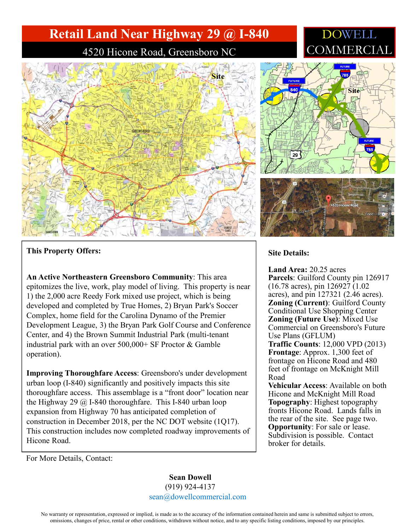## Retail Land Near Highway 29 @ I-840 DOWEI

4520 Hicone Road, Greensboro NC





## This Property Offers:

An Active Northeastern Greensboro Community: This area epitomizes the live, work, play model of living. This property is near 1) the 2,000 acre Reedy Fork mixed use project, which is being developed and completed by True Homes, 2) Bryan Park's Soccer Complex, home field for the Carolina Dynamo of the Premier Development League, 3) the Bryan Park Golf Course and Conference Center, and 4) the Brown Summit Industrial Park (multi-tenant industrial park with an over 500,000+ SF Proctor & Gamble operation).

Improving Thoroughfare Access: Greensboro's under development urban loop (I-840) significantly and positively impacts this site thoroughfare access. This assemblage is a "front door" location near the Highway 29  $\omega$  I-840 thoroughfare. This I-840 urban loop expansion from Highway 70 has anticipated completion of construction in December 2018, per the NC DOT website (1Q17). This construction includes now completed roadway improvements of Hicone Road.

### Site Details:

Land Area: 20.25 acres Parcels: Guilford County pin 126917 (16.78 acres), pin 126927 (1.02 acres), and pin 127321 (2.46 acres). Zoning (Current): Guilford County Conditional Use Shopping Center Zoning (Future Use): Mixed Use Commercial on Greensboro's Future Use Plans (GFLUM) Traffic Counts: 12,000 VPD (2013) Frontage: Approx. 1,300 feet of frontage on Hicone Road and 480 feet of frontage on McKnight Mill Road

Vehicular Access: Available on both Hicone and McKnight Mill Road Topography: Highest topography fronts Hicone Road. Lands falls in the rear of the site. See page two. Opportunity: For sale or lease. Subdivision is possible. Contact broker for details.

For More Details, Contact:

Sean Dowell (919) 924-4137 sean@dowellcommercial.com

No warranty or representation, expressed or implied, is made as to the accuracy of the information contained herein and same is submitted subject to errors, omissions, changes of price, rental or other conditions, withdrawn without notice, and to any specific listing conditions, imposed by our principles.